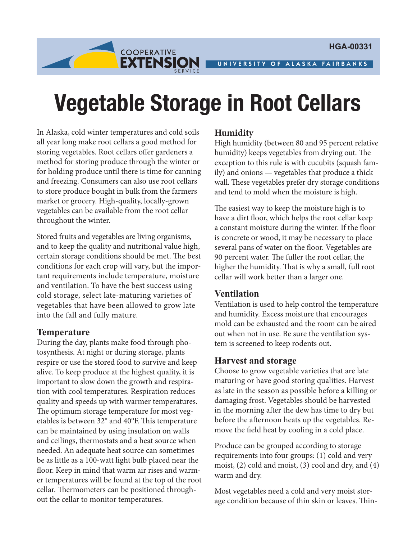UNIVERSITY OF ALASKA FAIRBANKS

# **Vegetable Storage in Root Cellars**

In Alaska, cold winter temperatures and cold soils all year long make root cellars a good method for storing vegetables. Root cellars offer gardeners a method for storing produce through the winter or for holding produce until there is time for canning and freezing. Consumers can also use root cellars to store produce bought in bulk from the farmers market or grocery. High-quality, locally-grown vegetables can be available from the root cellar throughout the winter.

**COOPERATIVE** 

EXTENSION

Stored fruits and vegetables are living organisms, and to keep the quality and nutritional value high, certain storage conditions should be met. The best conditions for each crop will vary, but the important requirements include temperature, moisture and ventilation. To have the best success using cold storage, select late-maturing varieties of vegetables that have been allowed to grow late into the fall and fully mature.

#### **Temperature**

During the day, plants make food through photosynthesis. At night or during storage, plants respire or use the stored food to survive and keep alive. To keep produce at the highest quality, it is important to slow down the growth and respiration with cool temperatures. Respiration reduces quality and speeds up with warmer temperatures. The optimum storage temperature for most vegetables is between 32° and 40°F. This temperature can be maintained by using insulation on walls and ceilings, thermostats and a heat source when needed. An adequate heat source can sometimes be as little as a 100-watt light bulb placed near the floor. Keep in mind that warm air rises and warmer temperatures will be found at the top of the root cellar. Thermometers can be positioned throughout the cellar to monitor temperatures.

# **Humidity**

High humidity (between 80 and 95 percent relative humidity) keeps vegetables from drying out. The exception to this rule is with cucubits (squash family) and onions — vegetables that produce a thick wall. These vegetables prefer dry storage conditions and tend to mold when the moisture is high.

The easiest way to keep the moisture high is to have a dirt floor, which helps the root cellar keep a constant moisture during the winter. If the floor is concrete or wood, it may be necessary to place several pans of water on the floor. Vegetables are 90 percent water. The fuller the root cellar, the higher the humidity. That is why a small, full root cellar will work better than a larger one.

#### **Ventilation**

Ventilation is used to help control the temperature and humidity. Excess moisture that encourages mold can be exhausted and the room can be aired out when not in use. Be sure the ventilation system is screened to keep rodents out.

## **Harvest and storage**

Choose to grow vegetable varieties that are late maturing or have good storing qualities. Harvest as late in the season as possible before a killing or damaging frost. Vegetables should be harvested in the morning after the dew has time to dry but before the afternoon heats up the vegetables. Remove the field heat by cooling in a cold place.

Produce can be grouped according to storage requirements into four groups: (1) cold and very moist, (2) cold and moist, (3) cool and dry, and (4) warm and dry.

Most vegetables need a cold and very moist storage condition because of thin skin or leaves. Thin-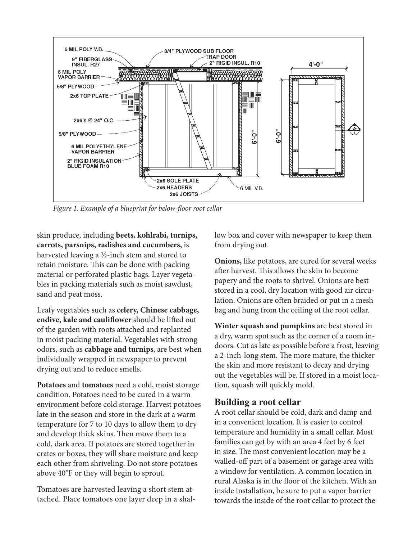

*Figure 1. Example of a blueprint for below-floor root cellar*

skin produce, including **beets, kohlrabi, turnips, carrots, parsnips, radishes and cucumbers,** is harvested leaving a ½-inch stem and stored to retain moisture. This can be done with packing material or perforated plastic bags. Layer vegetables in packing materials such as moist sawdust, sand and peat moss.

Leafy vegetables such as **celery, Chinese cabbage, endive, kale and cauliflower** should be lifted out of the garden with roots attached and replanted in moist packing material. Vegetables with strong odors, such as **cabbage and turnips**, are best when individually wrapped in newspaper to prevent drying out and to reduce smells.

**Potatoes** and **tomatoes** need a cold, moist storage condition. Potatoes need to be cured in a warm environment before cold storage. Harvest potatoes late in the season and store in the dark at a warm temperature for 7 to 10 days to allow them to dry and develop thick skins. Then move them to a cold, dark area. If potatoes are stored together in crates or boxes, they will share moisture and keep each other from shriveling. Do not store potatoes above 40°F or they will begin to sprout.

Tomatoes are harvested leaving a short stem attached. Place tomatoes one layer deep in a shallow box and cover with newspaper to keep them from drying out.

**Onions,** like potatoes, are cured for several weeks after harvest. This allows the skin to become papery and the roots to shrivel. Onions are best stored in a cool, dry location with good air circulation. Onions are often braided or put in a mesh bag and hung from the ceiling of the root cellar.

**Winter squash and pumpkins** are best stored in a dry, warm spot such as the corner of a room indoors. Cut as late as possible before a frost, leaving a 2-inch-long stem. The more mature, the thicker the skin and more resistant to decay and drying out the vegetables will be. If stored in a moist location, squash will quickly mold.

#### **Building a root cellar**

A root cellar should be cold, dark and damp and in a convenient location. It is easier to control temperature and humidity in a small cellar. Most families can get by with an area 4 feet by 6 feet in size. The most convenient location may be a walled-off part of a basement or garage area with a window for ventilation. A common location in rural Alaska is in the floor of the kitchen. With an inside installation, be sure to put a vapor barrier towards the inside of the root cellar to protect the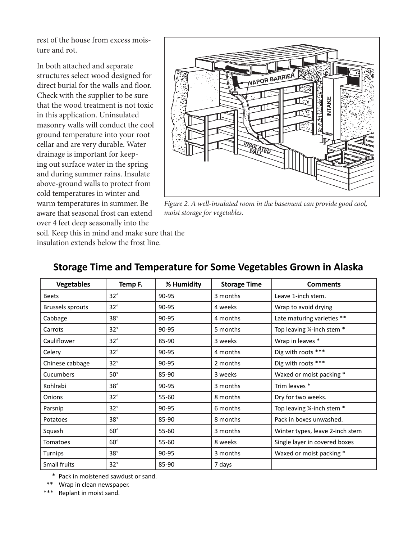rest of the house from excess moisture and rot.

In both attached and separate structures select wood designed for direct burial for the walls and floor. Check with the supplier to be sure that the wood treatment is not toxic in this application. Uninsulated masonry walls will conduct the cool ground temperature into your root cellar and are very durable. Water drainage is important for keeping out surface water in the spring and during summer rains. Insulate above-ground walls to protect from cold temperatures in winter and warm temperatures in summer. Be aware that seasonal frost can extend over 4 feet deep seasonally into the



*Figure 2. A well-insulated room in the basement can provide good cool, moist storage for vegetables.*

soil. Keep this in mind and make sure that the insulation extends below the frost line.

| <b>Vegetables</b> | Temp F.      | % Humidity | <b>Storage Time</b> | <b>Comments</b>                 |
|-------------------|--------------|------------|---------------------|---------------------------------|
| <b>Beets</b>      | $32^\circ$   | 90-95      | 3 months            | Leave 1-inch stem.              |
| Brussels sprouts  | $32^\circ$   | 90-95      | 4 weeks             | Wrap to avoid drying            |
| Cabbage           | $38^\circ$   | 90-95      | 4 months            | Late maturing varieties **      |
| Carrots           | $32^\circ$   | 90-95      | 5 months            | Top leaving 1/4-inch stem *     |
| Cauliflower       | $32^\circ$   | 85-90      | 3 weeks             | Wrap in leaves *                |
| Celery            | $32^\circ$   | 90-95      | 4 months            | Dig with roots ***              |
| Chinese cabbage   | $32^\circ$   | 90-95      | 2 months            | Dig with roots ***              |
| Cucumbers         | $50^\circ$   | 85-90      | 3 weeks             | Waxed or moist packing *        |
| Kohlrabi          | 38°          | 90-95      | 3 months            | Trim leaves *                   |
| Onions            | $32^\circ$   | $55 - 60$  | 8 months            | Dry for two weeks.              |
| Parsnip           | $32^\circ$   | 90-95      | 6 months            | Top leaving 1/4-inch stem *     |
| Potatoes          | $38^\circ$   | 85-90      | 8 months            | Pack in boxes unwashed.         |
| Squash            | $60^\circ$   | $55 - 60$  | 3 months            | Winter types, leave 2-inch stem |
| Tomatoes          | $60^\circ$   | 55-60      | 8 weeks             | Single layer in covered boxes   |
| <b>Turnips</b>    | $38^\circ$   | 90-95      | 3 months            | Waxed or moist packing *        |
| Small fruits      | $32^{\circ}$ | 85-90      | 7 days              |                                 |

# **Storage Time and Temperature for Some Vegetables Grown in Alaska**

\* Pack in moistened sawdust or sand.

Wrap in clean newspaper.

Replant in moist sand.